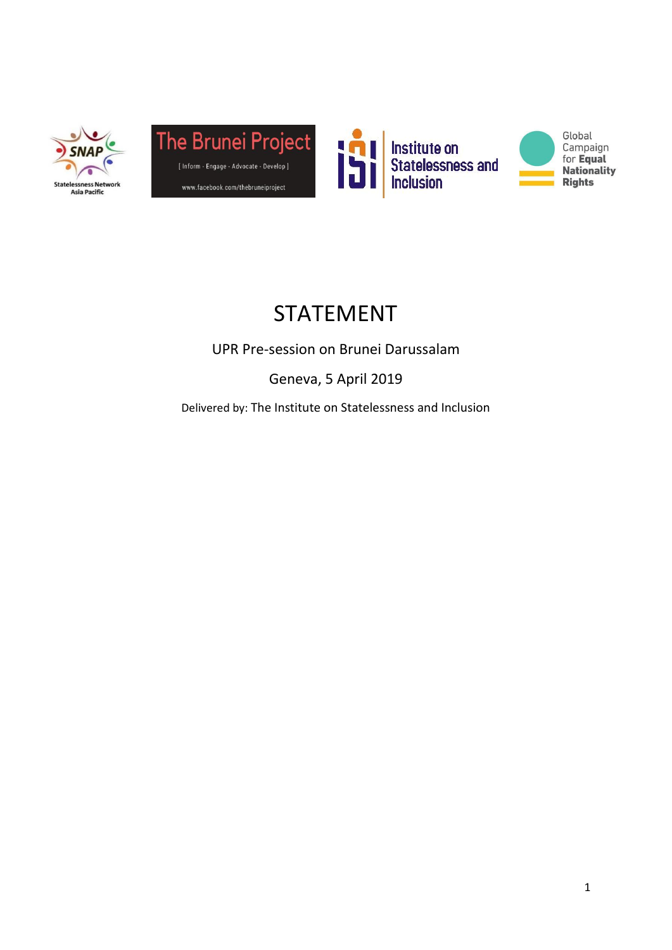







# STATEMENT

UPR Pre-session on Brunei Darussalam

Geneva, 5 April 2019

Delivered by: The Institute on Statelessness and Inclusion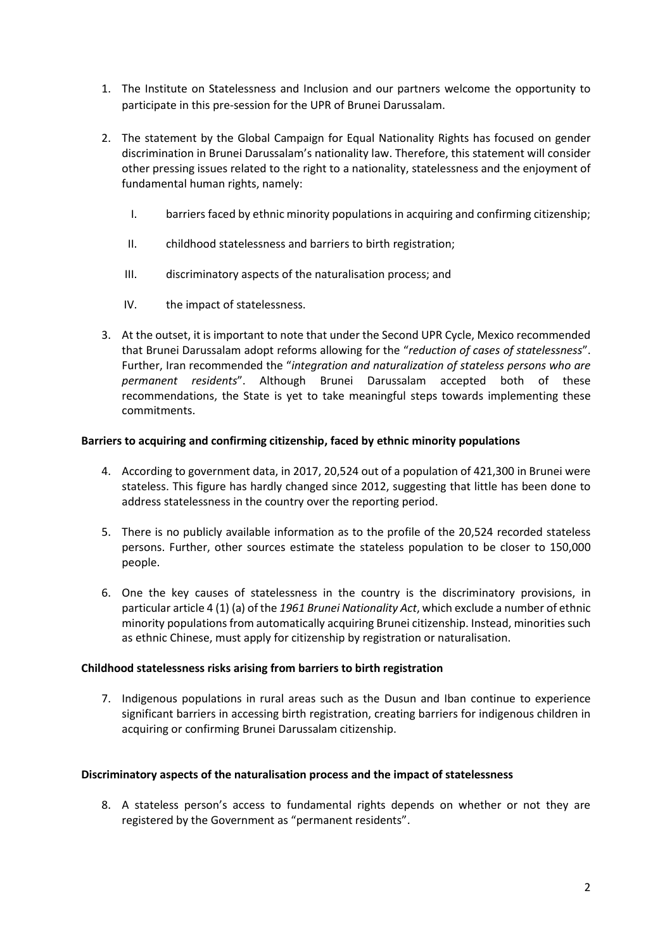- 1. The Institute on Statelessness and Inclusion and our partners welcome the opportunity to participate in this pre-session for the UPR of Brunei Darussalam.
- 2. The statement by the Global Campaign for Equal Nationality Rights has focused on gender discrimination in Brunei Darussalam's nationality law. Therefore, this statement will consider other pressing issues related to the right to a nationality, statelessness and the enjoyment of fundamental human rights, namely:
	- I. barriers faced by ethnic minority populations in acquiring and confirming citizenship;
	- II. childhood statelessness and barriers to birth registration;
	- III. discriminatory aspects of the naturalisation process; and
	- IV. the impact of statelessness.
- 3. At the outset, it is important to note that under the Second UPR Cycle, Mexico recommended that Brunei Darussalam adopt reforms allowing for the "*reduction of cases of statelessness*". Further, Iran recommended the "*integration and naturalization of stateless persons who are permanent residents*". Although Brunei Darussalam accepted both of these recommendations, the State is yet to take meaningful steps towards implementing these commitments.

### **Barriers to acquiring and confirming citizenship, faced by ethnic minority populations**

- 4. According to government data, in 2017, 20,524 out of a population of 421,300 in Brunei were stateless. This figure has hardly changed since 2012, suggesting that little has been done to address statelessness in the country over the reporting period.
- 5. There is no publicly available information as to the profile of the 20,524 recorded stateless persons. Further, other sources estimate the stateless population to be closer to 150,000 people.
- 6. One the key causes of statelessness in the country is the discriminatory provisions, in particular article 4 (1) (a) of the *1961 Brunei Nationality Act*, which exclude a number of ethnic minority populations from automatically acquiring Brunei citizenship. Instead, minorities such as ethnic Chinese, must apply for citizenship by registration or naturalisation.

### **Childhood statelessness risks arising from barriers to birth registration**

7. Indigenous populations in rural areas such as the Dusun and Iban continue to experience significant barriers in accessing birth registration, creating barriers for indigenous children in acquiring or confirming Brunei Darussalam citizenship.

### **Discriminatory aspects of the naturalisation process and the impact of statelessness**

8. A stateless person's access to fundamental rights depends on whether or not they are registered by the Government as "permanent residents".